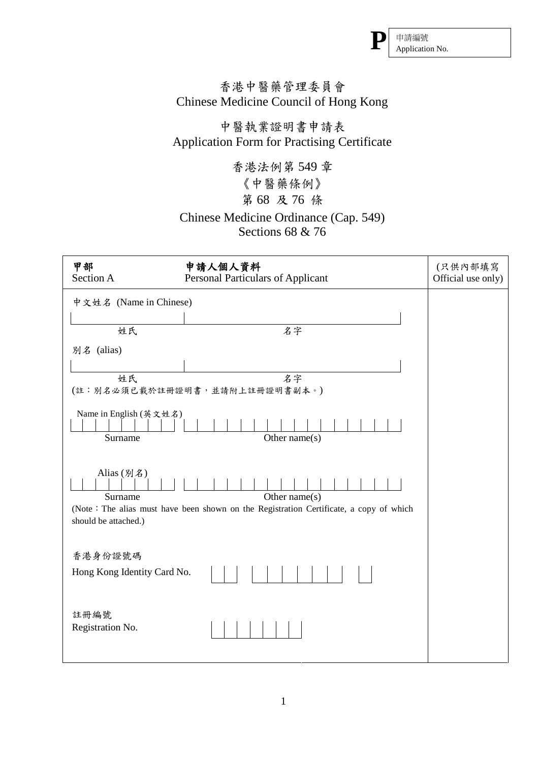

## 香港中醫藥管理委員會 Chinese Medicine Council of Hong Kong

## 中醫執業證明書申請表 Application Form for Practising Certificate

 第 68 及 76 條 香港法例第 549 章 《中醫藥條例》

## Sections 68 & 76 Chinese Medicine Ordinance (Cap. 549)

| 甲部<br>Section A                                                                                                                                             | 申請人個人資料<br>Personal Particulars of Applicant | (只供內部填寫<br>Official use only) |  |  |
|-------------------------------------------------------------------------------------------------------------------------------------------------------------|----------------------------------------------|-------------------------------|--|--|
| 中文姓名 (Name in Chinese)                                                                                                                                      |                                              |                               |  |  |
|                                                                                                                                                             |                                              |                               |  |  |
| 姓氏                                                                                                                                                          | 名字                                           |                               |  |  |
| 别名 (alias)                                                                                                                                                  |                                              |                               |  |  |
|                                                                                                                                                             |                                              |                               |  |  |
| 姓氏                                                                                                                                                          | 名字                                           |                               |  |  |
|                                                                                                                                                             | (註:別名必須已載於註冊證明書,並請附上註冊證明書副本。)                |                               |  |  |
| Name in English (英文姓名)<br>Surname                                                                                                                           | Other name $(s)$                             |                               |  |  |
| Alias (別名)<br>Surname<br>Other name $(s)$<br>(Note: The alias must have been shown on the Registration Certificate, a copy of which<br>should be attached.) |                                              |                               |  |  |
| 香港身份證號碼                                                                                                                                                     |                                              |                               |  |  |
| Hong Kong Identity Card No.                                                                                                                                 |                                              |                               |  |  |
| 註冊編號<br>Registration No.                                                                                                                                    |                                              |                               |  |  |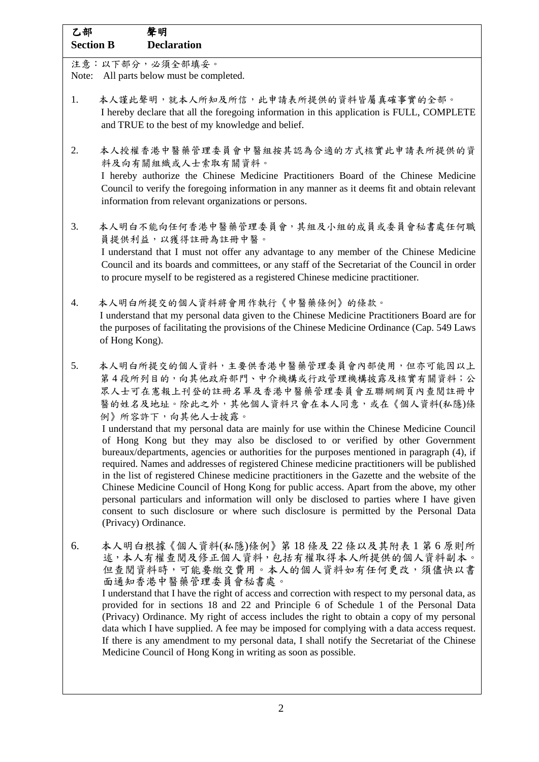| 乙部<br><b>Section B</b> | 聲明<br><b>Declaration</b>                                                                                                                                                                                                                                                                                                                                                                                                                                                                                                                                                                                                                                                                                                                                                                                                                                                                                                                                                          |
|------------------------|-----------------------------------------------------------------------------------------------------------------------------------------------------------------------------------------------------------------------------------------------------------------------------------------------------------------------------------------------------------------------------------------------------------------------------------------------------------------------------------------------------------------------------------------------------------------------------------------------------------------------------------------------------------------------------------------------------------------------------------------------------------------------------------------------------------------------------------------------------------------------------------------------------------------------------------------------------------------------------------|
| Note:                  | 注意:以下部分,必須全部填妥。<br>All parts below must be completed.                                                                                                                                                                                                                                                                                                                                                                                                                                                                                                                                                                                                                                                                                                                                                                                                                                                                                                                             |
| 1.                     | 本人謹此聲明,就本人所知及所信,此申請表所提供的資料皆屬真確事實的全部。<br>I hereby declare that all the foregoing information in this application is FULL, COMPLETE<br>and TRUE to the best of my knowledge and belief.                                                                                                                                                                                                                                                                                                                                                                                                                                                                                                                                                                                                                                                                                                                                                                                             |
| 2.                     | 本人授權香港中醫藥管理委員會中醫組按其認為合適的方式核實此申請表所提供的資<br>料及向有關組織或人士索取有關資料。<br>I hereby authorize the Chinese Medicine Practitioners Board of the Chinese Medicine<br>Council to verify the foregoing information in any manner as it deems fit and obtain relevant<br>information from relevant organizations or persons.                                                                                                                                                                                                                                                                                                                                                                                                                                                                                                                                                                                                                                                                         |
| 3.                     | 本人明白不能向任何香港中醫藥管理委員會,其組及小組的成員或委員會秘書處任何職<br>員提供利益,以獲得註冊為註冊中醫。                                                                                                                                                                                                                                                                                                                                                                                                                                                                                                                                                                                                                                                                                                                                                                                                                                                                                                                       |
|                        | I understand that I must not offer any advantage to any member of the Chinese Medicine<br>Council and its boards and committees, or any staff of the Secretariat of the Council in order<br>to procure myself to be registered as a registered Chinese medicine practitioner.                                                                                                                                                                                                                                                                                                                                                                                                                                                                                                                                                                                                                                                                                                     |
| 4.                     | 本人明白所提交的個人資料將會用作執行《中醫藥條例》的條款。<br>I understand that my personal data given to the Chinese Medicine Practitioners Board are for<br>the purposes of facilitating the provisions of the Chinese Medicine Ordinance (Cap. 549 Laws<br>of Hong Kong).                                                                                                                                                                                                                                                                                                                                                                                                                                                                                                                                                                                                                                                                                                                                   |
| 5.                     | 本人明白所提交的個人資料,主要供香港中醫藥管理委員會內部使用,但亦可能因以上<br>第4段所列目的,向其他政府部門、中介機構或行政管理機構披露及核實有關資料;公<br>眾人士可在憲報上刊登的註冊名單及香港中醫藥管理委員會互聯網網頁內查閱註冊中<br>醫的姓名及地址。除此之外,其他個人資料只會在本人同意,或在《個人資料(私隱)條<br>例》所容許下,向其他人士披露。<br>I understand that my personal data are mainly for use within the Chinese Medicine Council<br>of Hong Kong but they may also be disclosed to or verified by other Government<br>bureaux/departments, agencies or authorities for the purposes mentioned in paragraph (4), if<br>required. Names and addresses of registered Chinese medicine practitioners will be published<br>in the list of registered Chinese medicine practitioners in the Gazette and the website of the<br>Chinese Medicine Council of Hong Kong for public access. Apart from the above, my other<br>personal particulars and information will only be disclosed to parties where I have given<br>consent to such disclosure or where such disclosure is permitted by the Personal Data<br>(Privacy) Ordinance. |
| 6.                     | 本人明白根據《個人資料(私隱)條例》第 18 條及 22 條以及其附表 1 第 6 原則所<br>述,本人有權查閱及修正個人資料,包括有權取得本人所提供的個人資料副本。<br>但查閱資料時,可能要繳交費用。本人的個人資料如有任何更改,須儘快以書<br>面通知香港中醫藥管理委員會秘書處。<br>I understand that I have the right of access and correction with respect to my personal data, as<br>provided for in sections 18 and 22 and Principle 6 of Schedule 1 of the Personal Data<br>(Privacy) Ordinance. My right of access includes the right to obtain a copy of my personal<br>data which I have supplied. A fee may be imposed for complying with a data access request.<br>If there is any amendment to my personal data, I shall notify the Secretariat of the Chinese<br>Medicine Council of Hong Kong in writing as soon as possible.                                                                                                                                                                                                                                                                         |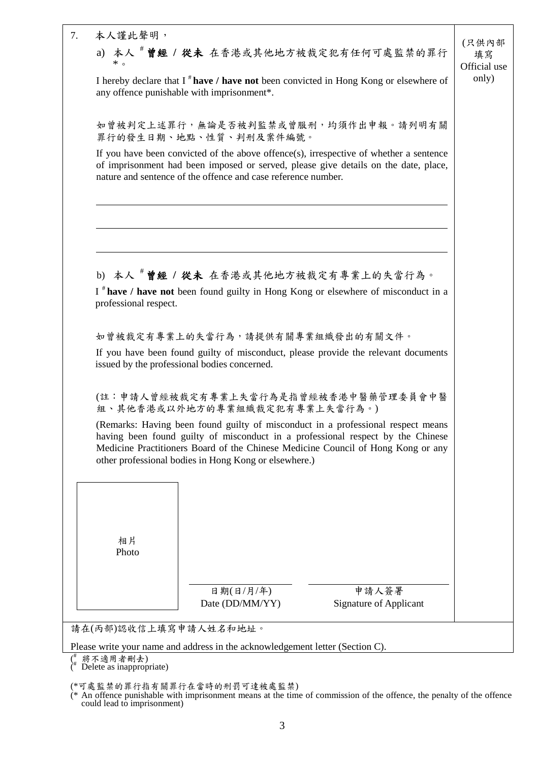| 7. | 本人謹此聲明,                                                                                                                                                                                                                                                                                                          | (只供內部              |
|----|------------------------------------------------------------------------------------------------------------------------------------------------------------------------------------------------------------------------------------------------------------------------------------------------------------------|--------------------|
|    | a) 本人 # 曾經 / 從未 在香港或其他地方被裁定犯有任何可處監禁的罪行<br>$*$ $\circ$                                                                                                                                                                                                                                                            | 填寫<br>Official use |
|    | I hereby declare that $I^*$ have / have not been convicted in Hong Kong or elsewhere of<br>any offence punishable with imprisonment*.                                                                                                                                                                            | only)              |
|    | 如曾被判定上述罪行,無論是否被判監禁或曾服刑,均須作出申報。請列明有關<br>罪行的發生日期、地點、性質、判刑及案件編號。                                                                                                                                                                                                                                                    |                    |
|    | If you have been convicted of the above offence(s), irrespective of whether a sentence<br>of imprisonment had been imposed or served, please give details on the date, place,<br>nature and sentence of the offence and case reference number.                                                                   |                    |
|    |                                                                                                                                                                                                                                                                                                                  |                    |
|    | b) 本人 # 曾經 / 從未 在香港或其他地方被裁定有專業上的失當行為。                                                                                                                                                                                                                                                                            |                    |
|    | I * have / have not been found guilty in Hong Kong or elsewhere of misconduct in a<br>professional respect.                                                                                                                                                                                                      |                    |
|    | 如曾被裁定有專業上的失當行為,請提供有關專業組織發出的有關文件。                                                                                                                                                                                                                                                                                 |                    |
|    | If you have been found guilty of misconduct, please provide the relevant documents<br>issued by the professional bodies concerned.                                                                                                                                                                               |                    |
|    | (註:申請人曾經被裁定有專業上失當行為是指曾經被香港中醫藥管理委員會中醫<br>組、其他香港或以外地方的專業組織裁定犯有專業上失當行為。)                                                                                                                                                                                                                                            |                    |
|    | (Remarks: Having been found guilty of misconduct in a professional respect means<br>having been found guilty of misconduct in a professional respect by the Chinese<br>Medicine Practitioners Board of the Chinese Medicine Council of Hong Kong or any<br>other professional bodies in Hong Kong or elsewhere.) |                    |
|    |                                                                                                                                                                                                                                                                                                                  |                    |
|    | 相片<br>Photo                                                                                                                                                                                                                                                                                                      |                    |
|    | 日期(日/月/年)<br>申請人簽署<br><b>Signature of Applicant</b><br>Date (DD/MM/YY)                                                                                                                                                                                                                                           |                    |
|    | 請在(丙部)認收信上填寫申請人姓名和地址。                                                                                                                                                                                                                                                                                            |                    |
|    | Please write your name and address in the acknowledgement letter (Section C).                                                                                                                                                                                                                                    |                    |

( # 將不適用者刪去)  $*$  Delete as inappropriate)

(\*可處監禁的罪行指有關罪行在當時的刑罰可達被處監禁)

(\* An offence punishable with imprisonment means at the time of commission of the offence, the penalty of the offence could lead to imprisonment)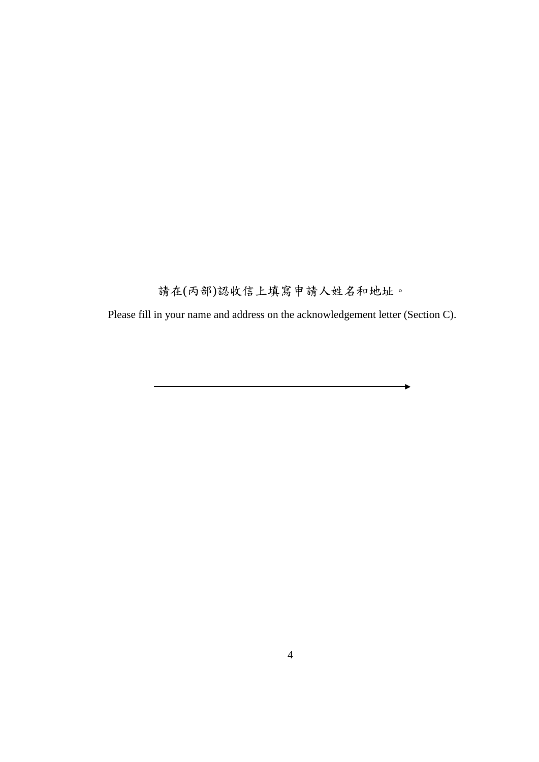請在(丙部)認收信上填寫申請人姓名和地址。

Please fill in your name and address on the acknowledgement letter (Section C).

ь